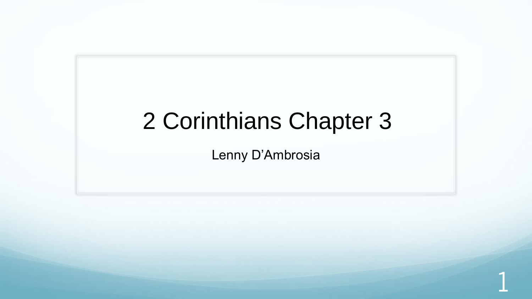### 2 Corinthians Chapter 3

Lenny D'Ambrosia

1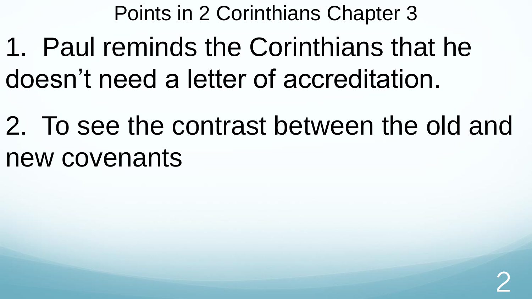Points in 2 Corinthians Chapter 3

1. Paul reminds the Corinthians that he doesn't need a letter of accreditation.

2. To see the contrast between the old and new covenants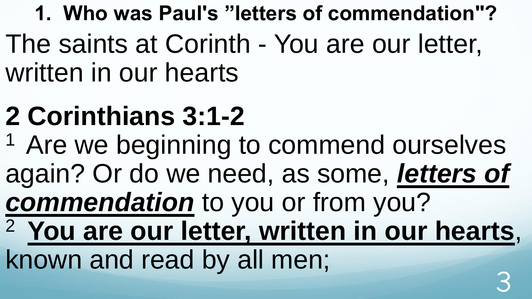**1. Who was Paul's "letters of commendation"?**  The saints at Corinth - You are our letter, written in our hearts

# **2 Corinthians 3:1-2**

<sup>1</sup> Are we beginning to commend ourselves again? Or do we need, as some, *letters of commendation* to you or from you? <sup>2</sup>**You are our letter, written in our hearts**, known and read by all men; 3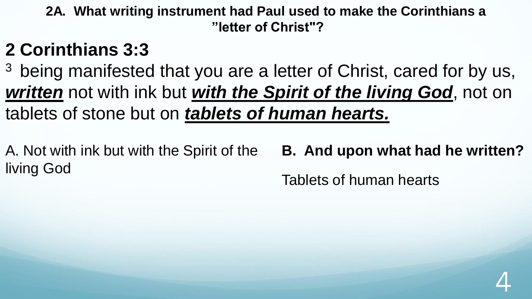**2A. What writing instrument had Paul used to make the Corinthians a "letter of Christ"?**

### **2 Corinthians 3:3**

<sup>3</sup> being manifested that you are a letter of Christ, cared for by us, *written* not with ink but *with the Spirit of the living God*, not on tablets of stone but on *tablets of human hearts.* 

A. Not with ink but with the Spirit of the living God **B. And upon what had he written?** Tablets of human hearts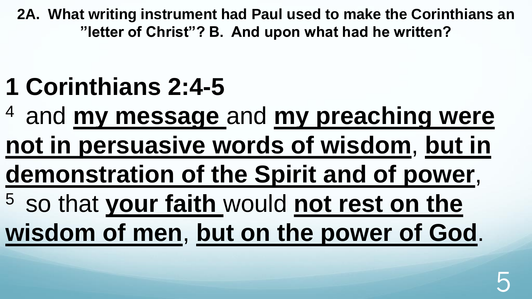**2A. What writing instrument had Paul used to make the Corinthians an "letter of Christ"? B. And upon what had he written?**

### **1 Corinthians 2:4-5**

<sup>4</sup>and **my message** and **my preaching were** 

**not in persuasive words of wisdom**, **but in** 

**demonstration of the Spirit and of power**,

<sup>5</sup> so that your faith would not rest on the **wisdom of men**, **but on the power of God**.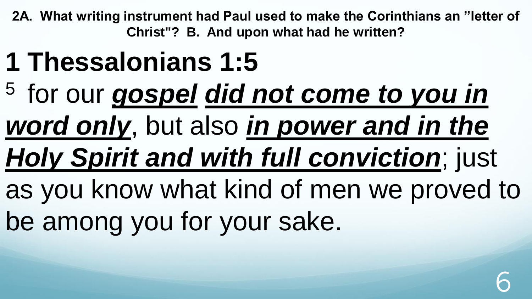**2A. What writing instrument had Paul used to make the Corinthians an "letter of Christ"? B. And upon what had he written?**

- **1 Thessalonians 1:5**
- <sup>5</sup> for our *gospel did not come to you in*
- *word only*, but also *in power and in the*

# *Holy Spirit and with full conviction*; just

as you know what kind of men we proved to be among you for your sake.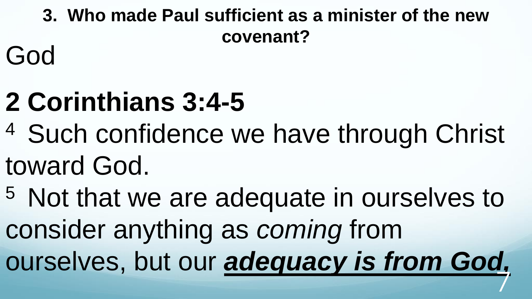**3. Who made Paul sufficient as a minister of the new covenant?** 

God

# **2 Corinthians 3:4-5**

- <sup>4</sup> Such confidence we have through Christ toward God.
- <sup>5</sup> Not that we are adequate in ourselves to consider anything as *coming* from ourselves, but our *adequacy is from God,*  7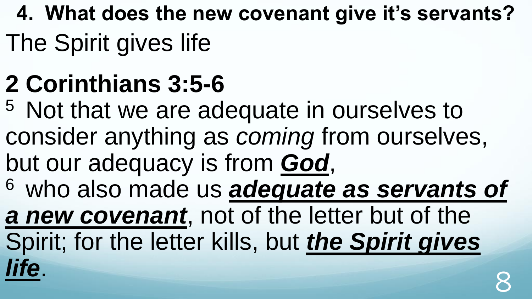- **4. What does the new covenant give it's servants?**
- The Spirit gives life

## **2 Corinthians 3:5-6**

<sup>5</sup> Not that we are adequate in ourselves to consider anything as *coming* from ourselves, but our adequacy is from *God*, <sup>6</sup>who also made us *adequate as servants of a new covenant*, not of the letter but of the Spirit; for the letter kills, but *the Spirit gives life*. 8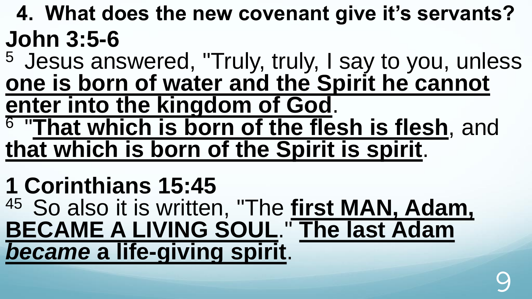- **4. What does the new covenant give it's servants? John 3:5-6**
- <sup>5</sup> Jesus answered, "Truly, truly, I say to you, unless **one is born of water and the Spirit he cannot enter into the kingdom of God**.
- 6 "**That which is born of the flesh is flesh**, and **that which is born of the Spirit is spirit**.

## **1 Corinthians 15:45**

<sup>45</sup> So also it is written, "The first MAN, Adam, **BECAME A LIVING SOUL**." **The last Adam**  *became* **a life-giving spirit**.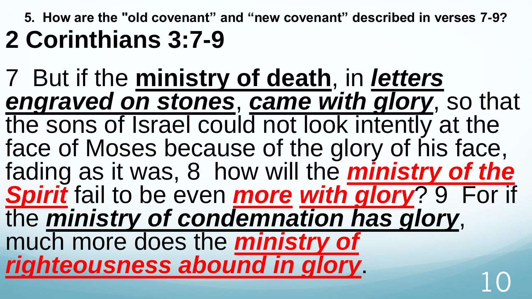**5. How are the "old covenant" and "new covenant" described in verses 7-9? 2 Corinthians 3:7-9** 

7 But if the **ministry of death**, in *letters engraved on stones*, *came with glory*, so that the sons of Israel could not look intently at the face of Moses because of the glory of his face, fading as it was, 8 how will the *ministry of the Spirit* fail to be even *more with glory*? 9 For if the *ministry of condemnation has glory*, much more does the *ministry of*  righteousness abound in glory.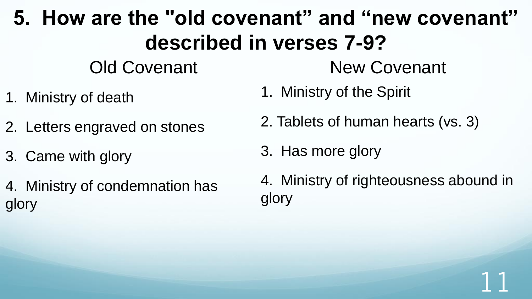#### **5. How are the "old covenant" and "new covenant" described in verses 7-9?**  Old Covenant New Covenant

- 1. Ministry of death
- 2. Letters engraved on stones
- 3. Came with glory
- 4. Ministry of condemnation has glory
- 1. Ministry of the Spirit
- 2. Tablets of human hearts (vs. 3)
- 3. Has more glory
- 4. Ministry of righteousness abound in glory

11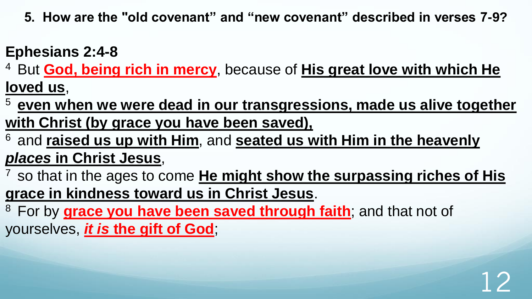**5. How are the "old covenant" and "new covenant" described in verses 7-9?** 

#### **Ephesians 2:4-8**

<sup>4</sup> But **God, being rich in mercy**, because of **His great love with which He loved us**,

<sup>5</sup>**even when we were dead in our transgressions, made us alive together with Christ (by grace you have been saved),** 

<sup>6</sup>and **raised us up with Him**, and **seated us with Him in the heavenly**  *places* **in Christ Jesus**,

<sup>7</sup> so that in the ages to come **He might show the surpassing riches of His grace in kindness toward us in Christ Jesus**.

12

<sup>8</sup> For by **grace you have been saved through faith**; and that not of yourselves, *it is* **the gift of God**;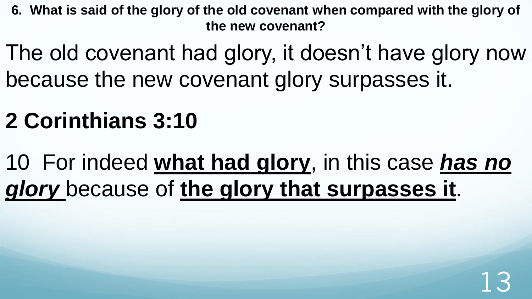**6. What is said of the glory of the old covenant when compared with the glory of the new covenant?** 

The old covenant had glory, it doesn't have glory now because the new covenant glory surpasses it.

### **2 Corinthians 3:10**

10 For indeed **what had glory**, in this case *has no glory* because of **the glory that surpasses it**.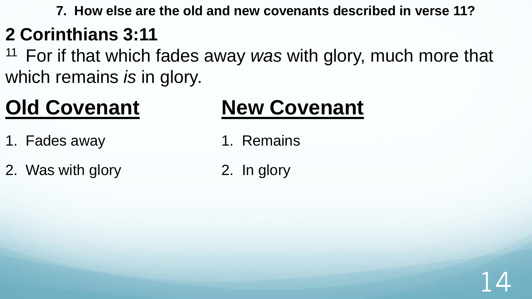**7. How else are the old and new covenants described in verse 11?** 

### **2 Corinthians 3:11**

<sup>11</sup> For if that which fades away *was* with glory, much more that which remains *is* in glory.

### **Old Covenant**

#### 1. Fades away

2. Was with glory

### **New Covenant**

- 1. Remains
- 2. In glory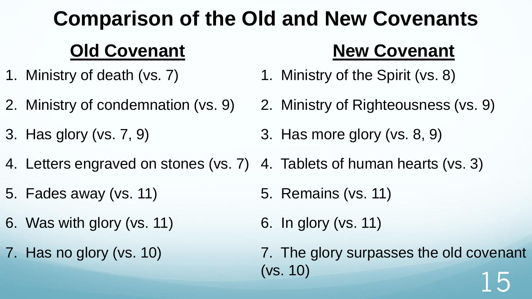#### **Comparison of the Old and New Covenants Old Covenant New Covenant**

- 1. Ministry of death (vs. 7) 1. Ministry of the Spirit (vs. 8)
- 2. Ministry of condemnation (vs. 9)
- 3. Has glory (vs. 7, 9)
- 2. Ministry of Righteousness (vs. 9)
- 3. Has more glory (vs. 8, 9)
- 4. Letters engraved on stones (vs. 7) 4. Tablets of human hearts (vs. 3)
- 5. Fades away (vs. 11)
- 6. Was with glory (vs. 11)
- 7. Has no glory (vs. 10)
- 5. Remains (vs. 11)
- 6. In glory (vs. 11)
- 7. The glory surpasses the old covenant (vs. 10)  $15$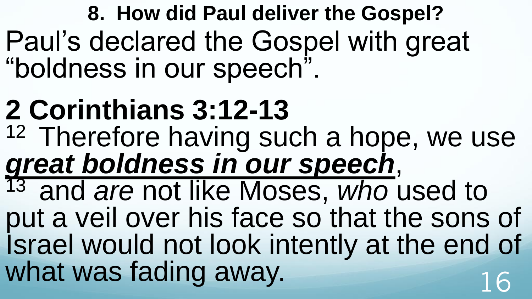**8. How did Paul deliver the Gospel?** Paul's declared the Gospel with great "boldness in our speech".

**2 Corinthians 3:12-13**  <sup>12</sup> Therefore having such a hope, we use *great boldness in our speech*, <sup>13</sup> and *are* not like Moses, who used to put a veil over his face so that the sons of Israel would not look intently at the end of what was fading away.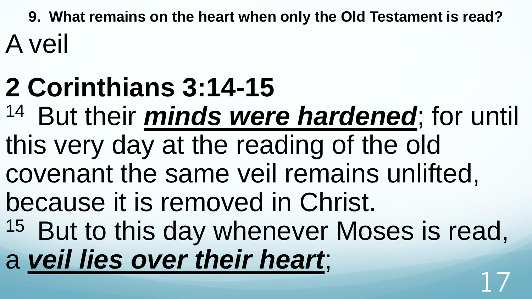**9. What remains on the heart when only the Old Testament is read?**  A veil

# **2 Corinthians 3:14-15**

- <sup>14</sup> But their *minds were hardened*; for until this very day at the reading of the old
- covenant the same veil remains unlifted,
- because it is removed in Christ.
- <sup>15</sup> But to this day whenever Moses is read, a *veil lies over their heart*; 17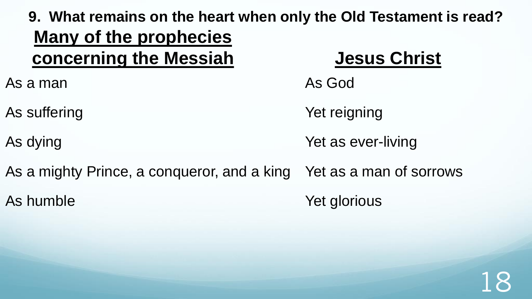**9. What remains on the heart when only the Old Testament is read? Many of the prophecies concerning the Messiah**  As a man As suffering As dying As a mighty Prince, a conqueror, and a king As humble **Jesus Christ** As God Yet reigning Yet as ever-living Yet as a man of sorrows Yet glorious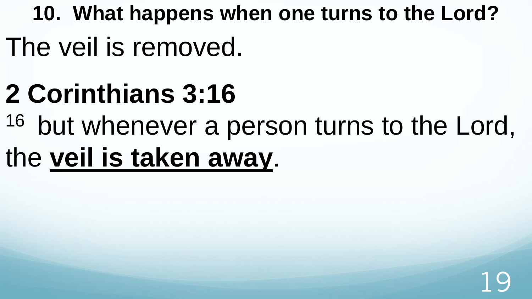**10. What happens when one turns to the Lord?**  The veil is removed.

# **2 Corinthians 3:16**

<sup>16</sup> but whenever a person turns to the Lord,

# the **veil is taken away**.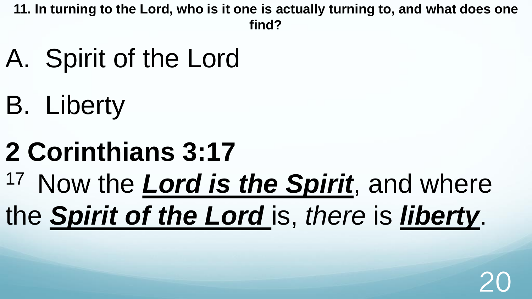**11. In turning to the Lord, who is it one is actually turning to, and what does one find?** 

- A. Spirit of the Lord
- B. Liberty
- **2 Corinthians 3:17**  <sup>17</sup> Now the *Lord is the Spirit*, and where the *Spirit of the Lord* is, *there* is *liberty*.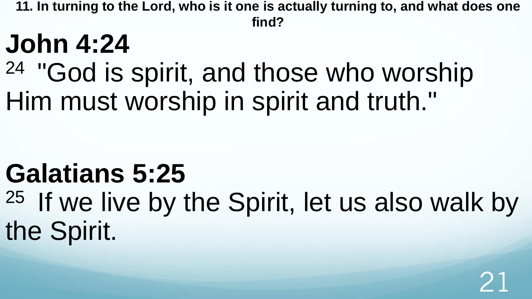**11. In turning to the Lord, who is it one is actually turning to, and what does one find?** 

## **John 4:24**

### <sup>24</sup> "God is spirit, and those who worship Him must worship in spirit and truth."

## **Galatians 5:25**

<sup>25</sup> If we live by the Spirit, let us also walk by the Spirit.